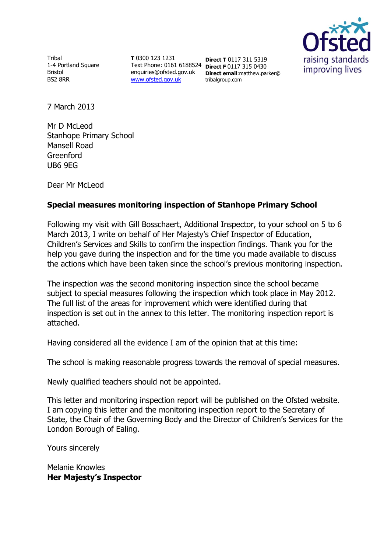

**Tribal** 1-4 Portland Square Bristol BS2 8RR

**T** 0300 123 1231 Text Phone: 0161 6188524 **Direct F** 0117 315 0430 enquiries@ofsted.gov.uk [www.ofsted.gov.uk](http://www.ofsted.gov.uk/)

**Direct T** 0117 311 5319 **Direct email**:matthew.parker@ tribalgroup.com

7 March 2013

Mr D McLeod Stanhope Primary School Mansell Road Greenford UB6 9EG

Dear Mr McLeod

# **Special measures monitoring inspection of Stanhope Primary School**

Following my visit with Gill Bosschaert, Additional Inspector, to your school on 5 to 6 March 2013, I write on behalf of Her Majesty's Chief Inspector of Education, Children's Services and Skills to confirm the inspection findings. Thank you for the help you gave during the inspection and for the time you made available to discuss the actions which have been taken since the school's previous monitoring inspection.

The inspection was the second monitoring inspection since the school became subject to special measures following the inspection which took place in May 2012. The full list of the areas for improvement which were identified during that inspection is set out in the annex to this letter. The monitoring inspection report is attached.

Having considered all the evidence I am of the opinion that at this time:

The school is making reasonable progress towards the removal of special measures.

Newly qualified teachers should not be appointed.

This letter and monitoring inspection report will be published on the Ofsted website. I am copying this letter and the monitoring inspection report to the Secretary of State, the Chair of the Governing Body and the Director of Children's Services for the London Borough of Ealing.

Yours sincerely

Melanie Knowles **Her Majesty's Inspector**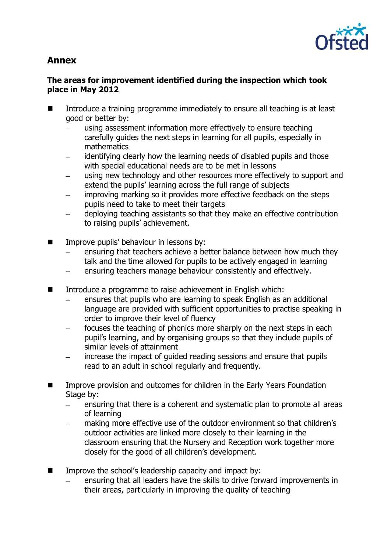

# **Annex**

# **The areas for improvement identified during the inspection which took place in May 2012**

- Introduce a training programme immediately to ensure all teaching is at least good or better by:
	- using assessment information more effectively to ensure teaching carefully guides the next steps in learning for all pupils, especially in mathematics
	- identifying clearly how the learning needs of disabled pupils and those with special educational needs are to be met in lessons
	- using new technology and other resources more effectively to support and extend the pupils' learning across the full range of subjects
	- improving marking so it provides more effective feedback on the steps pupils need to take to meet their targets
	- deploying teaching assistants so that they make an effective contribution to raising pupils' achievement.
- **IMPROVE PUPILS' behaviour in lessons by:** 
	- ensuring that teachers achieve a better balance between how much they talk and the time allowed for pupils to be actively engaged in learning
	- ensuring teachers manage behaviour consistently and effectively.
- Introduce a programme to raise achievement in English which:
	- ensures that pupils who are learning to speak English as an additional language are provided with sufficient opportunities to practise speaking in order to improve their level of fluency
	- focuses the teaching of phonics more sharply on the next steps in each pupil's learning, and by organising groups so that they include pupils of similar levels of attainment
	- increase the impact of guided reading sessions and ensure that pupils read to an adult in school regularly and frequently.
- Improve provision and outcomes for children in the Early Years Foundation Stage by:
	- $\equiv$ ensuring that there is a coherent and systematic plan to promote all areas of learning
	- making more effective use of the outdoor environment so that children's outdoor activities are linked more closely to their learning in the classroom ensuring that the Nursery and Reception work together more closely for the good of all children's development.
- $\blacksquare$  Improve the school's leadership capacity and impact by:
	- ensuring that all leaders have the skills to drive forward improvements in their areas, particularly in improving the quality of teaching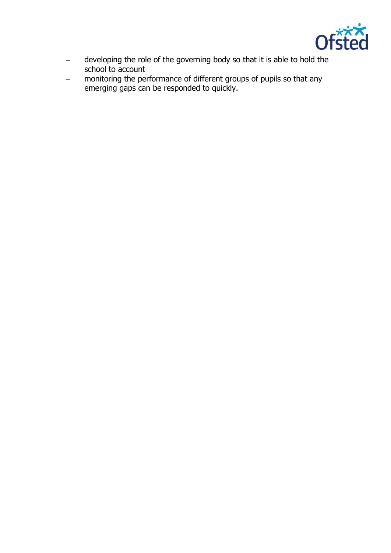

- $\equiv$ developing the role of the governing body so that it is able to hold the school to account
- $\equiv$ monitoring the performance of different groups of pupils so that any emerging gaps can be responded to quickly.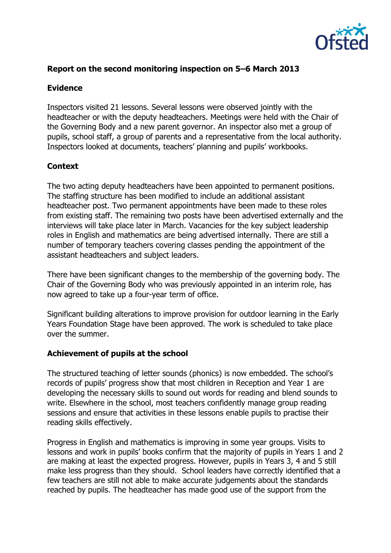

## **Report on the second monitoring inspection on 5–6 March 2013**

#### **Evidence**

Inspectors visited 21 lessons. Several lessons were observed jointly with the headteacher or with the deputy headteachers. Meetings were held with the Chair of the Governing Body and a new parent governor. An inspector also met a group of pupils, school staff, a group of parents and a representative from the local authority. Inspectors looked at documents, teachers' planning and pupils' workbooks.

#### **Context**

The two acting deputy headteachers have been appointed to permanent positions. The staffing structure has been modified to include an additional assistant headteacher post. Two permanent appointments have been made to these roles from existing staff. The remaining two posts have been advertised externally and the interviews will take place later in March. Vacancies for the key subject leadership roles in English and mathematics are being advertised internally. There are still a number of temporary teachers covering classes pending the appointment of the assistant headteachers and subject leaders.

There have been significant changes to the membership of the governing body. The Chair of the Governing Body who was previously appointed in an interim role, has now agreed to take up a four-year term of office.

Significant building alterations to improve provision for outdoor learning in the Early Years Foundation Stage have been approved. The work is scheduled to take place over the summer.

#### **Achievement of pupils at the school**

The structured teaching of letter sounds (phonics) is now embedded. The school's records of pupils' progress show that most children in Reception and Year 1 are developing the necessary skills to sound out words for reading and blend sounds to write. Elsewhere in the school, most teachers confidently manage group reading sessions and ensure that activities in these lessons enable pupils to practise their reading skills effectively.

Progress in English and mathematics is improving in some year groups. Visits to lessons and work in pupils' books confirm that the majority of pupils in Years 1 and 2 are making at least the expected progress. However, pupils in Years 3, 4 and 5 still make less progress than they should. School leaders have correctly identified that a few teachers are still not able to make accurate judgements about the standards reached by pupils. The headteacher has made good use of the support from the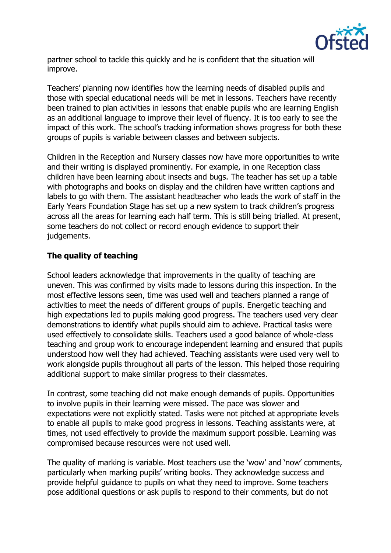

partner school to tackle this quickly and he is confident that the situation will improve.

Teachers' planning now identifies how the learning needs of disabled pupils and those with special educational needs will be met in lessons. Teachers have recently been trained to plan activities in lessons that enable pupils who are learning English as an additional language to improve their level of fluency. It is too early to see the impact of this work. The school's tracking information shows progress for both these groups of pupils is variable between classes and between subjects.

Children in the Reception and Nursery classes now have more opportunities to write and their writing is displayed prominently. For example, in one Reception class children have been learning about insects and bugs. The teacher has set up a table with photographs and books on display and the children have written captions and labels to go with them. The assistant headteacher who leads the work of staff in the Early Years Foundation Stage has set up a new system to track children's progress across all the areas for learning each half term. This is still being trialled. At present, some teachers do not collect or record enough evidence to support their judgements.

# **The quality of teaching**

School leaders acknowledge that improvements in the quality of teaching are uneven. This was confirmed by visits made to lessons during this inspection. In the most effective lessons seen, time was used well and teachers planned a range of activities to meet the needs of different groups of pupils. Energetic teaching and high expectations led to pupils making good progress. The teachers used very clear demonstrations to identify what pupils should aim to achieve. Practical tasks were used effectively to consolidate skills. Teachers used a good balance of whole-class teaching and group work to encourage independent learning and ensured that pupils understood how well they had achieved. Teaching assistants were used very well to work alongside pupils throughout all parts of the lesson. This helped those requiring additional support to make similar progress to their classmates.

In contrast, some teaching did not make enough demands of pupils. Opportunities to involve pupils in their learning were missed. The pace was slower and expectations were not explicitly stated. Tasks were not pitched at appropriate levels to enable all pupils to make good progress in lessons. Teaching assistants were, at times, not used effectively to provide the maximum support possible. Learning was compromised because resources were not used well.

The quality of marking is variable. Most teachers use the 'wow' and 'now' comments, particularly when marking pupils' writing books. They acknowledge success and provide helpful guidance to pupils on what they need to improve. Some teachers pose additional questions or ask pupils to respond to their comments, but do not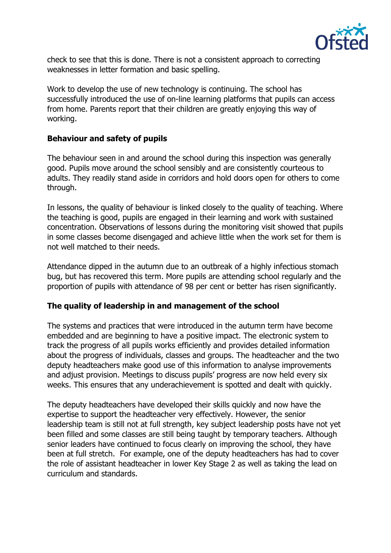

check to see that this is done. There is not a consistent approach to correcting weaknesses in letter formation and basic spelling.

Work to develop the use of new technology is continuing. The school has successfully introduced the use of on-line learning platforms that pupils can access from home. Parents report that their children are greatly enjoying this way of working.

#### **Behaviour and safety of pupils**

The behaviour seen in and around the school during this inspection was generally good. Pupils move around the school sensibly and are consistently courteous to adults. They readily stand aside in corridors and hold doors open for others to come through.

In lessons, the quality of behaviour is linked closely to the quality of teaching. Where the teaching is good, pupils are engaged in their learning and work with sustained concentration. Observations of lessons during the monitoring visit showed that pupils in some classes become disengaged and achieve little when the work set for them is not well matched to their needs.

Attendance dipped in the autumn due to an outbreak of a highly infectious stomach bug, but has recovered this term. More pupils are attending school regularly and the proportion of pupils with attendance of 98 per cent or better has risen significantly.

#### **The quality of leadership in and management of the school**

The systems and practices that were introduced in the autumn term have become embedded and are beginning to have a positive impact. The electronic system to track the progress of all pupils works efficiently and provides detailed information about the progress of individuals, classes and groups. The headteacher and the two deputy headteachers make good use of this information to analyse improvements and adjust provision. Meetings to discuss pupils' progress are now held every six weeks. This ensures that any underachievement is spotted and dealt with quickly.

The deputy headteachers have developed their skills quickly and now have the expertise to support the headteacher very effectively. However, the senior leadership team is still not at full strength, key subject leadership posts have not yet been filled and some classes are still being taught by temporary teachers. Although senior leaders have continued to focus clearly on improving the school, they have been at full stretch. For example, one of the deputy headteachers has had to cover the role of assistant headteacher in lower Key Stage 2 as well as taking the lead on curriculum and standards.